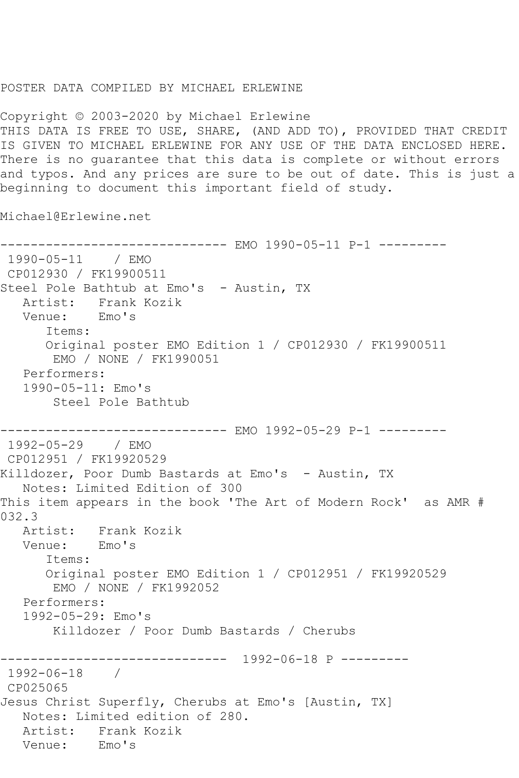## POSTER DATA COMPILED BY MICHAEL ERLEWINE

Copyright © 2003-2020 by Michael Erlewine THIS DATA IS FREE TO USE, SHARE, (AND ADD TO), PROVIDED THAT CREDIT IS GIVEN TO MICHAEL ERLEWINE FOR ANY USE OF THE DATA ENCLOSED HERE. There is no guarantee that this data is complete or without errors and typos. And any prices are sure to be out of date. This is just a beginning to document this important field of study.

Michael@Erlewine.net

------------------------------ EMO 1990-05-11 P-1 --------- 1990-05-11 / EMO CP012930 / FK19900511 Steel Pole Bathtub at Emo's - Austin, TX Artist: Frank Kozik Venue: Emo's Items: Original poster EMO Edition 1 / CP012930 / FK19900511 EMO / NONE / FK1990051 Performers: 1990-05-11: Emo's Steel Pole Bathtub ------------------------------ EMO 1992-05-29 P-1 --------- 1992-05-29 / EMO CP012951 / FK19920529 Killdozer, Poor Dumb Bastards at Emo's - Austin, TX Notes: Limited Edition of 300 This item appears in the book 'The Art of Modern Rock' as AMR # 032.3<br>: Artist Frank Kozik Venue: Emo's Items: Original poster EMO Edition 1 / CP012951 / FK19920529 EMO / NONE / FK1992052 Performers: 1992-05-29: Emo's Killdozer / Poor Dumb Bastards / Cherubs ------------------------------ 1992-06-18 P --------- 1992-06-18 / CP025065 Jesus Christ Superfly, Cherubs at Emo's [Austin, TX] Notes: Limited edition of 280. Artist: Frank Kozik<br>Venue: Emo's Venue: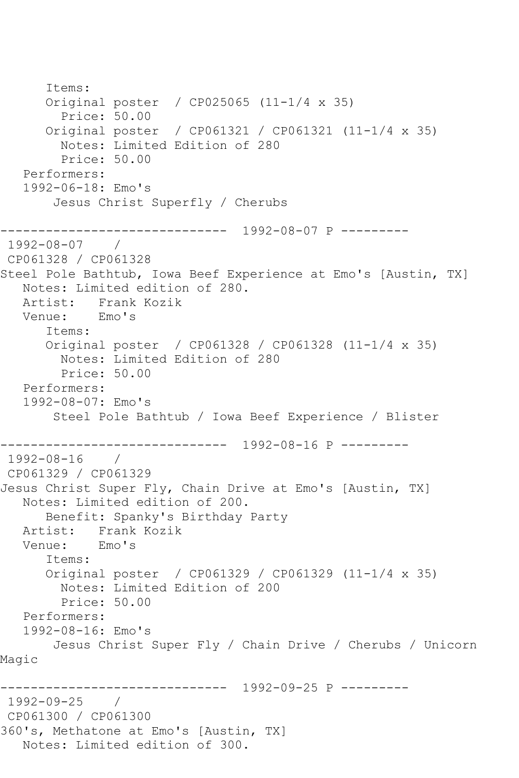Items: Original poster / CP025065 (11-1/4 x 35) Price: 50.00 Original poster / CP061321 / CP061321 (11-1/4 x 35) Notes: Limited Edition of 280 Price: 50.00 Performers: 1992-06-18: Emo's Jesus Christ Superfly / Cherubs ------------------------------ 1992-08-07 P --------- 1992-08-07 / CP061328 / CP061328 Steel Pole Bathtub, Iowa Beef Experience at Emo's [Austin, TX] Notes: Limited edition of 280. Artist: Frank Kozik Venue: Emo's Items: Original poster / CP061328 / CP061328 (11-1/4 x 35) Notes: Limited Edition of 280 Price: 50.00 Performers: 1992-08-07: Emo's Steel Pole Bathtub / Iowa Beef Experience / Blister ------------------------------ 1992-08-16 P --------- 1992-08-16 / CP061329 / CP061329 Jesus Christ Super Fly, Chain Drive at Emo's [Austin, TX] Notes: Limited edition of 200. Benefit: Spanky's Birthday Party Artist: Frank Kozik Venue: Emo's Items: Original poster / CP061329 / CP061329 (11-1/4 x 35) Notes: Limited Edition of 200 Price: 50.00 Performers: 1992-08-16: Emo's Jesus Christ Super Fly / Chain Drive / Cherubs / Unicorn Magic ------------------------------ 1992-09-25 P --------- 1992-09-25 / CP061300 / CP061300 360's, Methatone at Emo's [Austin, TX] Notes: Limited edition of 300.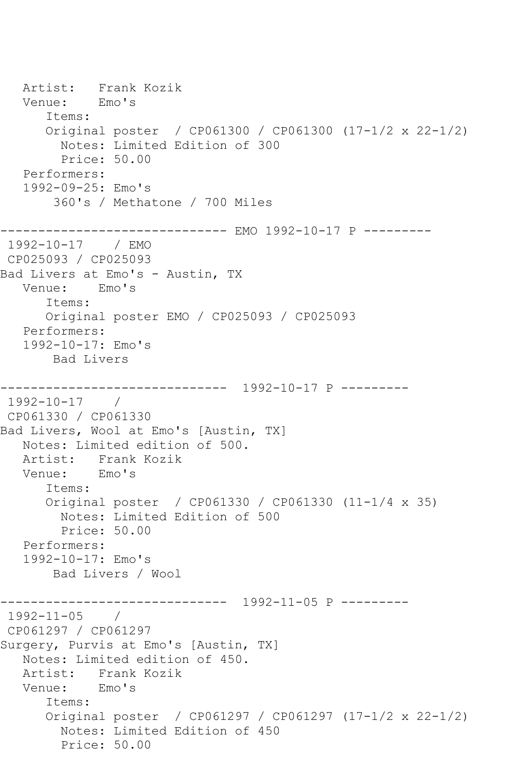Artist: Frank Kozik<br>Venue: Emo's Venue: Items: Original poster / CP061300 / CP061300 (17-1/2 x 22-1/2) Notes: Limited Edition of 300 Price: 50.00 Performers: 1992-09-25: Emo's 360's / Methatone / 700 Miles ------------------------------ EMO 1992-10-17 P --------- 1992-10-17 / EMO CP025093 / CP025093 Bad Livers at Emo's - Austin, TX Venue: Emo's Items: Original poster EMO / CP025093 / CP025093 Performers: 1992-10-17: Emo's Bad Livers ------------------------------ 1992-10-17 P --------- 1992-10-17 / CP061330 / CP061330 Bad Livers, Wool at Emo's [Austin, TX] Notes: Limited edition of 500. Artist: Frank Kozik<br>Venue: Emo's Venue: Items: Original poster / CP061330 / CP061330 (11-1/4 x 35) Notes: Limited Edition of 500 Price: 50.00 Performers: 1992-10-17: Emo's Bad Livers / Wool ------------------------------ 1992-11-05 P --------- 1992-11-05 / CP061297 / CP061297 Surgery, Purvis at Emo's [Austin, TX] Notes: Limited edition of 450. Artist: Frank Kozik Venue: Emo's Items: Original poster / CP061297 / CP061297 (17-1/2 x 22-1/2) Notes: Limited Edition of 450 Price: 50.00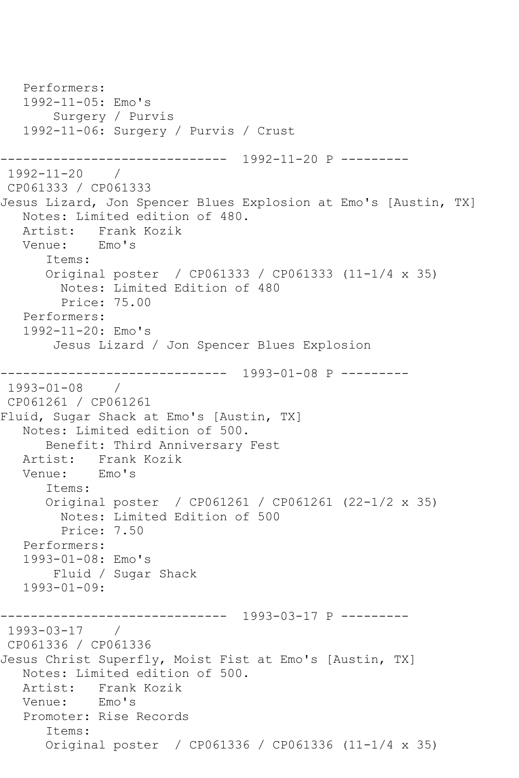Performers: 1992-11-05: Emo's Surgery / Purvis 1992-11-06: Surgery / Purvis / Crust ------------------------------ 1992-11-20 P --------- 1992-11-20 / CP061333 / CP061333 Jesus Lizard, Jon Spencer Blues Explosion at Emo's [Austin, TX] Notes: Limited edition of 480. Artist: Frank Kozik<br>Venue: Emo's Venue: Items: Original poster / CP061333 / CP061333 (11-1/4 x 35) Notes: Limited Edition of 480 Price: 75.00 Performers: 1992-11-20: Emo's Jesus Lizard / Jon Spencer Blues Explosion ------------------------------ 1993-01-08 P --------- 1993-01-08 / CP061261 / CP061261 Fluid, Sugar Shack at Emo's [Austin, TX] Notes: Limited edition of 500. Benefit: Third Anniversary Fest Artist: Frank Kozik Venue: Emo's Items: Original poster / CP061261 / CP061261 (22-1/2 x 35) Notes: Limited Edition of 500 Price: 7.50 Performers: 1993-01-08: Emo's Fluid / Sugar Shack 1993-01-09: ------------------------------ 1993-03-17 P --------- 1993-03-17 / CP061336 / CP061336 Jesus Christ Superfly, Moist Fist at Emo's [Austin, TX] Notes: Limited edition of 500. Artist: Frank Kozik<br>Venue: Emo's Venue: Promoter: Rise Records Items: Original poster / CP061336 / CP061336 (11-1/4 x 35)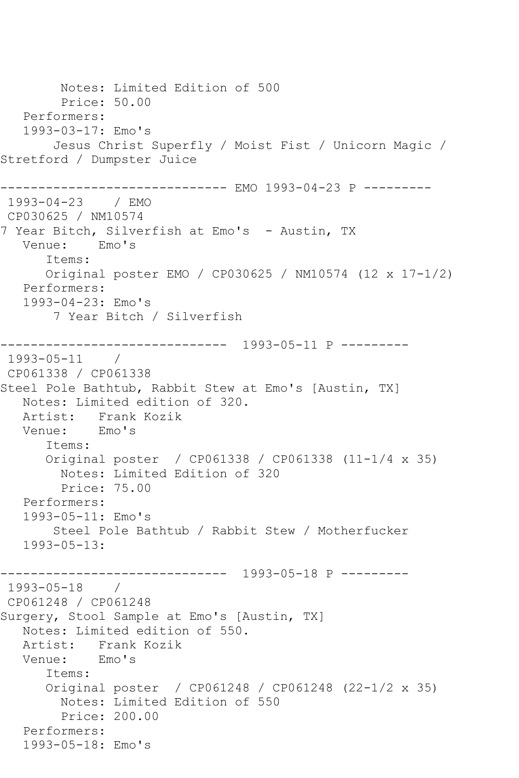Notes: Limited Edition of 500 Price: 50.00 Performers: 1993-03-17: Emo's Jesus Christ Superfly / Moist Fist / Unicorn Magic / Stretford / Dumpster Juice ------------------------------ EMO 1993-04-23 P --------- 1993-04-23 / EMO CP030625 / NM10574 7 Year Bitch, Silverfish at Emo's - Austin, TX Venue: Emo's Items: Original poster EMO / CP030625 / NM10574 (12 x 17-1/2) Performers: 1993-04-23: Emo's 7 Year Bitch / Silverfish ------------------------------ 1993-05-11 P --------- 1993-05-11 / CP061338 / CP061338 Steel Pole Bathtub, Rabbit Stew at Emo's [Austin, TX] Notes: Limited edition of 320. Artist: Frank Kozik Venue: Emo's Items: Original poster / CP061338 / CP061338 (11-1/4 x 35) Notes: Limited Edition of 320 Price: 75.00 Performers: 1993-05-11: Emo's Steel Pole Bathtub / Rabbit Stew / Motherfucker 1993-05-13: ------------------------------ 1993-05-18 P --------- 1993-05-18 / CP061248 / CP061248 Surgery, Stool Sample at Emo's [Austin, TX] Notes: Limited edition of 550. Artist: Frank Kozik Venue: Emo's Items: Original poster / CP061248 / CP061248 (22-1/2 x 35) Notes: Limited Edition of 550 Price: 200.00 Performers: 1993-05-18: Emo's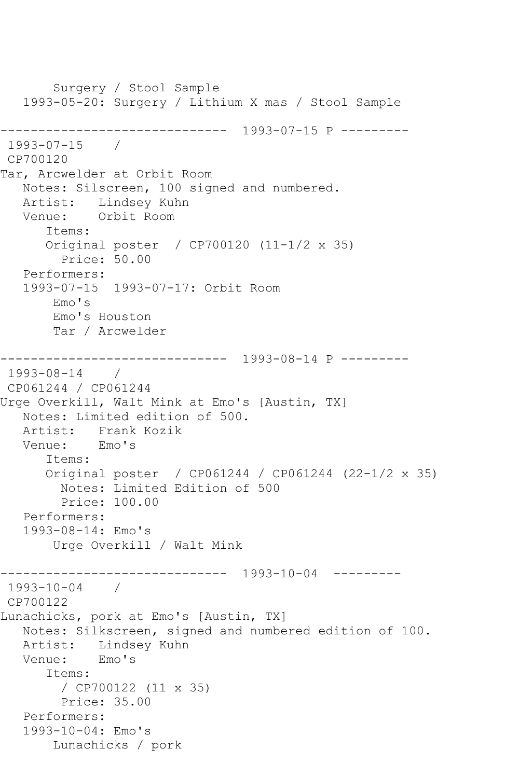Surgery / Stool Sample 1993-05-20: Surgery / Lithium X mas / Stool Sample ------------------------------ 1993-07-15 P --------- 1993-07-15 / CP700120 Tar, Arcwelder at Orbit Room Notes: Silscreen, 100 signed and numbered. Artist: Lindsey Kuhn<br>Venue: Orbit Room Orbit Room Items: Original poster / CP700120 (11-1/2 x 35) Price: 50.00 Performers: 1993-07-15 1993-07-17: Orbit Room Emo's Emo's Houston Tar / Arcwelder ------------------------------ 1993-08-14 P --------- 1993-08-14 / CP061244 / CP061244 Urge Overkill, Walt Mink at Emo's [Austin, TX] Notes: Limited edition of 500. Artist: Frank Kozik<br>Venue: Emo's Venue: Items: Original poster / CP061244 / CP061244 (22-1/2 x 35) Notes: Limited Edition of 500 Price: 100.00 Performers: 1993-08-14: Emo's Urge Overkill / Walt Mink -------------- 1993-10-04 ----------1993-10-04 / CP700122 Lunachicks, pork at Emo's [Austin, TX] Notes: Silkscreen, signed and numbered edition of 100. Artist: Lindsey Kuhn Venue: Emo's Items: / CP700122 (11 x 35) Price: 35.00 Performers: 1993-10-04: Emo's Lunachicks / pork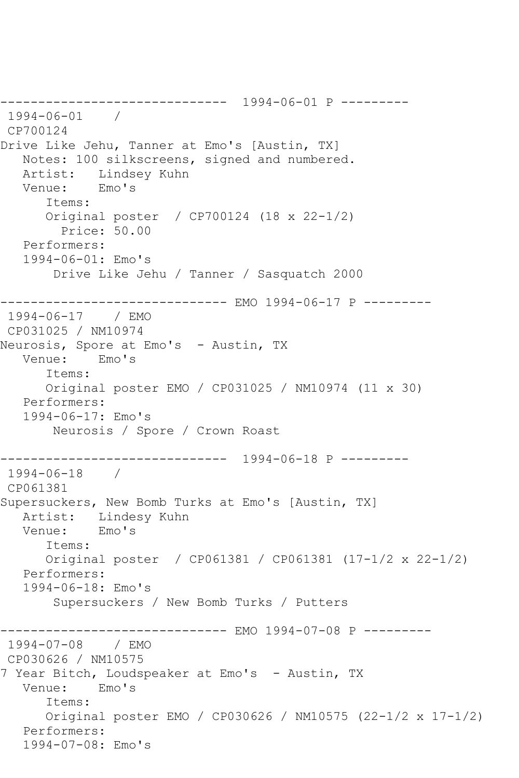------------------------------ 1994-06-01 P --------- 1994-06-01 / CP700124 Drive Like Jehu, Tanner at Emo's [Austin, TX] Notes: 100 silkscreens, signed and numbered. Artist: Lindsey Kuhn<br>Venue: Emo's Venue: Items: Original poster / CP700124 (18 x 22-1/2) Price: 50.00 Performers: 1994-06-01: Emo's Drive Like Jehu / Tanner / Sasquatch 2000 ------------------------------ EMO 1994-06-17 P --------- 1994-06-17 / EMO CP031025 / NM10974 Neurosis, Spore at Emo's - Austin, TX Venue: Emo's Items: Original poster EMO / CP031025 / NM10974 (11 x 30) Performers: 1994-06-17: Emo's Neurosis / Spore / Crown Roast ------------------------------ 1994-06-18 P --------- 1994-06-18 / CP061381 Supersuckers, New Bomb Turks at Emo's [Austin, TX] Artist: Lindesy Kuhn Venue: Emo's Items: Original poster / CP061381 / CP061381 (17-1/2 x 22-1/2) Performers: 1994-06-18: Emo's Supersuckers / New Bomb Turks / Putters ------------------------------ EMO 1994-07-08 P --------- 1994-07-08 / EMO CP030626 / NM10575 7 Year Bitch, Loudspeaker at Emo's - Austin, TX Venue: Emo's Items: Original poster EMO / CP030626 / NM10575 (22-1/2 x 17-1/2) Performers: 1994-07-08: Emo's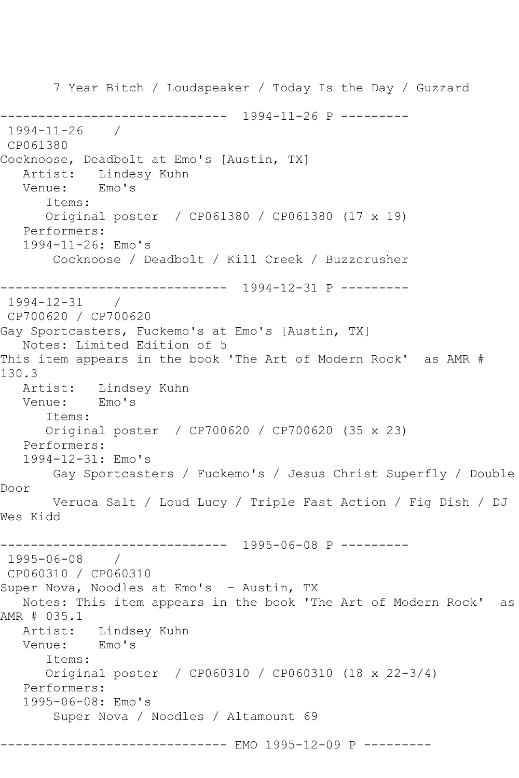7 Year Bitch / Loudspeaker / Today Is the Day / Guzzard ------------------------------ 1994-11-26 P --------- 1994-11-26 / CP061380 Cocknoose, Deadbolt at Emo's [Austin, TX] Artist: Lindesy Kuhn<br>Venue: Emo's Venue: Items: Original poster / CP061380 / CP061380 (17 x 19) Performers: 1994-11-26: Emo's Cocknoose / Deadbolt / Kill Creek / Buzzcrusher ------------------------------ 1994-12-31 P --------- 1994-12-31 / CP700620 / CP700620 Gay Sportcasters, Fuckemo's at Emo's [Austin, TX] Notes: Limited Edition of 5 This item appears in the book 'The Art of Modern Rock' as AMR # 130.3 Artist: Lindsey Kuhn Venue: Emo's Items: Original poster / CP700620 / CP700620 (35 x 23) Performers: 1994-12-31: Emo's Gay Sportcasters / Fuckemo's / Jesus Christ Superfly / Double Door Veruca Salt / Loud Lucy / Triple Fast Action / Fig Dish / DJ Wes Kidd ------------------------------ 1995-06-08 P ---------  $1995 - 06 - 08$ CP060310 / CP060310 Super Nova, Noodles at Emo's - Austin, TX Notes: This item appears in the book 'The Art of Modern Rock' as AMR # 035.1 Artist: Lindsey Kuhn<br>Venue: Emo's Venue: Items: Original poster / CP060310 / CP060310 (18 x 22-3/4) Performers: 1995-06-08: Emo's Super Nova / Noodles / Altamount 69 ------------------------------ EMO 1995-12-09 P ---------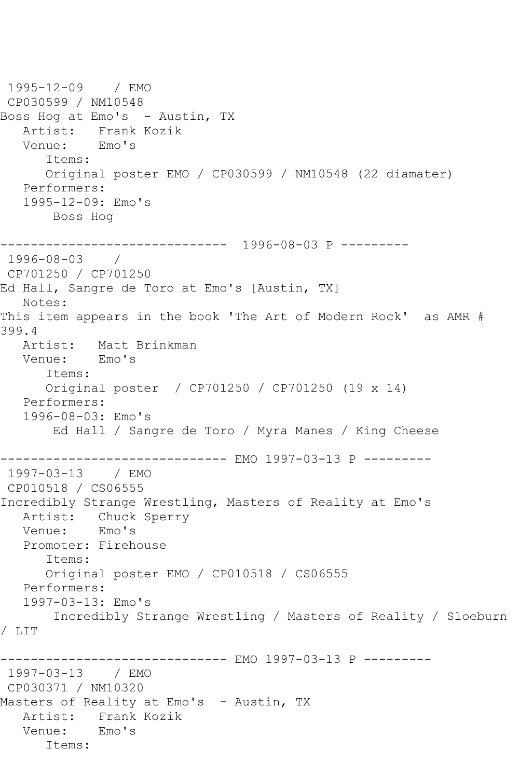1995-12-09 / EMO CP030599 / NM10548 Boss Hog at Emo's – Austin, TX Artist: Frank Kozik<br>Venue: Emo's Venue: Items: Original poster EMO / CP030599 / NM10548 (22 diamater) Performers: 1995-12-09: Emo's Boss Hog ------------------------------ 1996-08-03 P --------- 1996-08-03 / CP701250 / CP701250 Ed Hall, Sangre de Toro at Emo's [Austin, TX] Notes: This item appears in the book 'The Art of Modern Rock' as AMR # 399.4<br>: Artist Matt Brinkman<br>Emo's Venue: Items: Original poster / CP701250 / CP701250 (19 x 14) Performers: 1996-08-03: Emo's Ed Hall / Sangre de Toro / Myra Manes / King Cheese ------------------------------ EMO 1997-03-13 P --------- 1997-03-13 / EMO CP010518 / CS06555 Incredibly Strange Wrestling, Masters of Reality at Emo's Artist: Chuck Sperry Venue: Emo's Promoter: Firehouse Items: Original poster EMO / CP010518 / CS06555 Performers: 1997-03-13: Emo's Incredibly Strange Wrestling / Masters of Reality / Sloeburn / LIT ------------------------------ EMO 1997-03-13 P --------- 1997-03-13 / EMO CP030371 / NM10320 Masters of Reality at Emo's - Austin, TX Artist: Frank Kozik Venue: Emo's Items: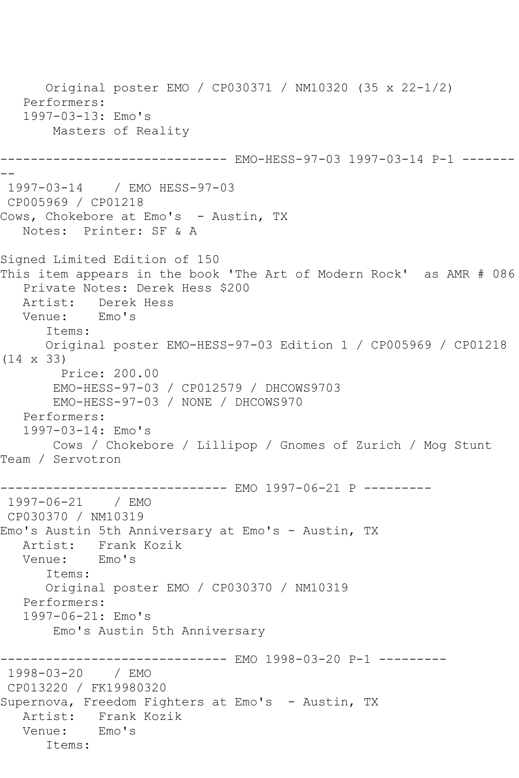Original poster EMO / CP030371 / NM10320 (35 x 22-1/2) Performers: 1997-03-13: Emo's Masters of Reality ------------------------------ EMO-HESS-97-03 1997-03-14 P-1 ------- -- 1997-03-14 / EMO HESS-97-03 CP005969 / CP01218 Cows, Chokebore at Emo's - Austin, TX Notes: Printer: SF & A Signed Limited Edition of 150 This item appears in the book 'The Art of Modern Rock' as AMR # 086 Private Notes: Derek Hess \$200 Artist: Derek Hess<br>Venue: Emo's Venue: Items: Original poster EMO-HESS-97-03 Edition 1 / CP005969 / CP01218 (14 x 33) Price: 200.00 EMO-HESS-97-03 / CP012579 / DHCOWS9703 EMO-HESS-97-03 / NONE / DHCOWS970 Performers: 1997-03-14: Emo's Cows / Chokebore / Lillipop / Gnomes of Zurich / Mog Stunt Team / Servotron ------------------------------ EMO 1997-06-21 P --------- 1997-06-21 / EMO CP030370 / NM10319 Emo's Austin 5th Anniversary at Emo's - Austin, TX Artist: Frank Kozik<br>Venue: Emo's Venue: Items: Original poster EMO / CP030370 / NM10319 Performers: 1997-06-21: Emo's Emo's Austin 5th Anniversary ------------------------------ EMO 1998-03-20 P-1 --------- 1998-03-20 / EMO CP013220 / FK19980320 Supernova, Freedom Fighters at Emo's - Austin, TX Artist: Frank Kozik Venue: Emo's Items: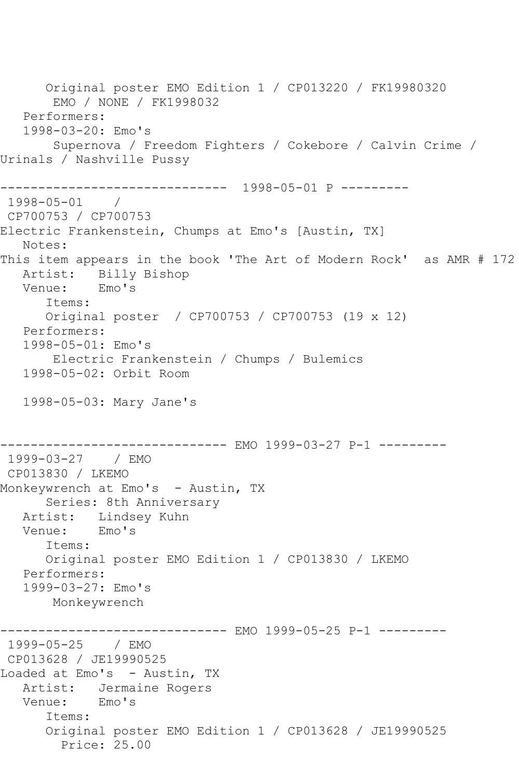Original poster EMO Edition 1 / CP013220 / FK19980320 EMO / NONE / FK1998032 Performers: 1998-03-20: Emo's Supernova / Freedom Fighters / Cokebore / Calvin Crime / Urinals / Nashville Pussy ------------------------------ 1998-05-01 P --------- 1998-05-01 / CP700753 / CP700753 Electric Frankenstein, Chumps at Emo's [Austin, TX] Notes: This item appears in the book 'The Art of Modern Rock' as AMR # 172 Artist: Billy Bishop<br>Venue: Emo's Venue: Items: Original poster / CP700753 / CP700753 (19 x 12) Performers: 1998-05-01: Emo's Electric Frankenstein / Chumps / Bulemics 1998-05-02: Orbit Room 1998-05-03: Mary Jane's ------------------------------ EMO 1999-03-27 P-1 --------- 1999-03-27 / EMO CP013830 / LKEMO Monkeywrench at Emo's - Austin, TX Series: 8th Anniversary Artist: Lindsey Kuhn Venue: Emo's Items: Original poster EMO Edition 1 / CP013830 / LKEMO Performers: 1999-03-27: Emo's Monkeywrench ------------------------------ EMO 1999-05-25 P-1 --------- 1999-05-25 / EMO CP013628 / JE19990525 Loaded at Emo's - Austin, TX Artist: Jermaine Rogers<br>Venue: Emo's Venue: Items: Original poster EMO Edition 1 / CP013628 / JE19990525 Price: 25.00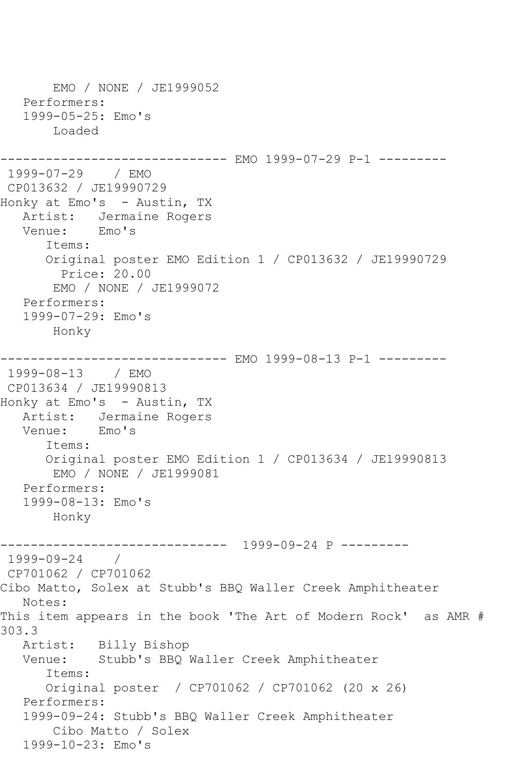EMO / NONE / JE1999052 Performers: 1999-05-25: Emo's Loaded ------------------------------ EMO 1999-07-29 P-1 --------- 1999-07-29 / EMO CP013632 / JE19990729 Honky at Emo's - Austin, TX Artist: Jermaine Rogers Venue: Emo's Items: Original poster EMO Edition 1 / CP013632 / JE19990729 Price: 20.00 EMO / NONE / JE1999072 Performers: 1999-07-29: Emo's Honky ------------------------------ EMO 1999-08-13 P-1 --------- 1999-08-13 / EMO CP013634 / JE19990813 Honky at Emo's - Austin, TX Artist: Jermaine Rogers Venue: Emo's Items: Original poster EMO Edition 1 / CP013634 / JE19990813 EMO / NONE / JE1999081 Performers: 1999-08-13: Emo's Honky ------------------------------ 1999-09-24 P --------- 1999-09-24 / CP701062 / CP701062 Cibo Matto, Solex at Stubb's BBQ Waller Creek Amphitheater Notes: This item appears in the book 'The Art of Modern Rock' as AMR # 303.3<br>: Artist Billy Bishop Venue: Stubb's BBQ Waller Creek Amphitheater Items: Original poster / CP701062 / CP701062 (20 x 26) Performers: 1999-09-24: Stubb's BBQ Waller Creek Amphitheater Cibo Matto / Solex 1999-10-23: Emo's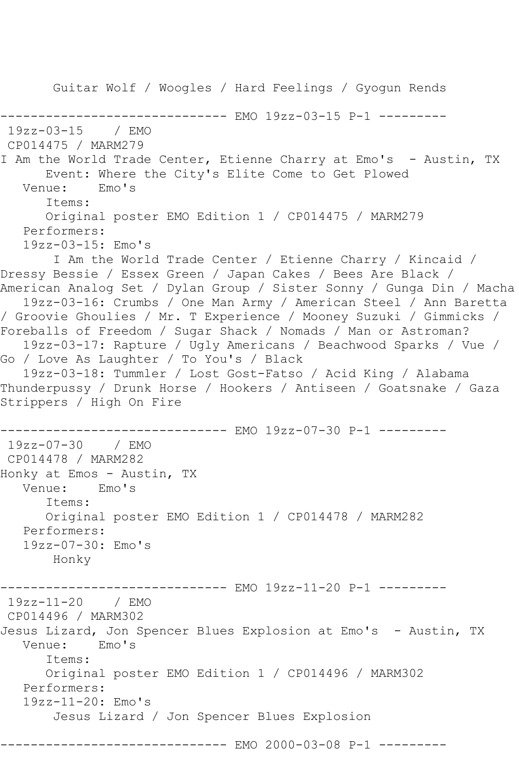Guitar Wolf / Woogles / Hard Feelings / Gyogun Rends -------------- EMO 19zz-03-15 P-1 ---------19zz-03-15 / EMO CP014475 / MARM279 I Am the World Trade Center, Etienne Charry at Emo's - Austin, TX Event: Where the City's Elite Come to Get Plowed<br>ule: Fmo's Venue: Items: Original poster EMO Edition 1 / CP014475 / MARM279 Performers: 19zz-03-15: Emo's I Am the World Trade Center / Etienne Charry / Kincaid / Dressy Bessie / Essex Green / Japan Cakes / Bees Are Black / American Analog Set / Dylan Group / Sister Sonny / Gunga Din / Macha 19zz-03-16: Crumbs / One Man Army / American Steel / Ann Baretta / Groovie Ghoulies / Mr. T Experience / Mooney Suzuki / Gimmicks / Foreballs of Freedom / Sugar Shack / Nomads / Man or Astroman? 19zz-03-17: Rapture / Ugly Americans / Beachwood Sparks / Vue / Go / Love As Laughter / To You's / Black 19zz-03-18: Tummler / Lost Gost-Fatso / Acid King / Alabama Thunderpussy / Drunk Horse / Hookers / Antiseen / Goatsnake / Gaza Strippers / High On Fire ------------------------------ EMO 19zz-07-30 P-1 --------- 19zz-07-30 / EMO CP014478 / MARM282 Honky at Emos - Austin, TX Venue: Emo's Items: Original poster EMO Edition 1 / CP014478 / MARM282 Performers: 19zz-07-30: Emo's Honky ------------------------------ EMO 19zz-11-20 P-1 --------- 19zz-11-20 / EMO CP014496 / MARM302 Jesus Lizard, Jon Spencer Blues Explosion at Emo's - Austin, TX<br>Venue: Emo's Venue: Items: Original poster EMO Edition 1 / CP014496 / MARM302 Performers: 19zz-11-20: Emo's Jesus Lizard / Jon Spencer Blues Explosion ------------------------------ EMO 2000-03-08 P-1 ---------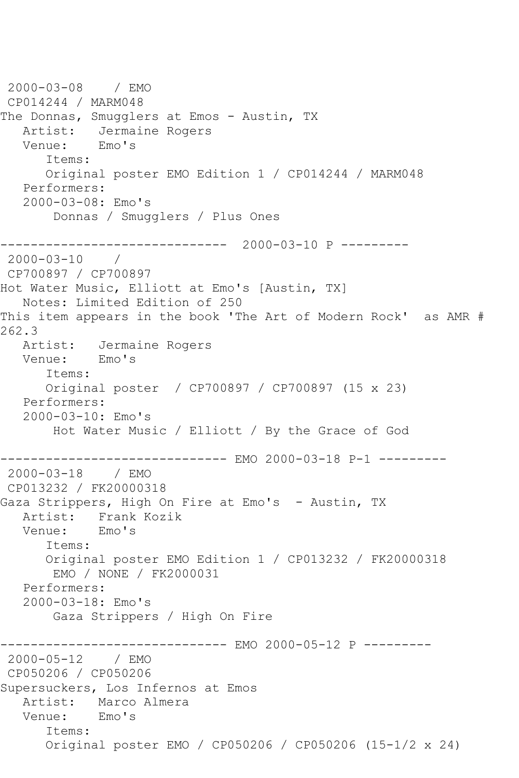```
2000-03-08 / EMO 
CP014244 / MARM048
The Donnas, Smugglers at Emos - Austin, TX
  Artist: Jermaine Rogers<br>Venue: Emo's
  Venue:
       Items:
       Original poster EMO Edition 1 / CP014244 / MARM048
   Performers:
    2000-03-08: Emo's
        Donnas / Smugglers / Plus Ones
------------------------------ 2000-03-10 P ---------
2000-03-10 / 
CP700897 / CP700897
Hot Water Music, Elliott at Emo's [Austin, TX]
   Notes: Limited Edition of 250
This item appears in the book 'The Art of Modern Rock' as AMR # 
262.3<br>: Artist
            Jermaine Rogers
   Venue: Emo's
       Items:
       Original poster / CP700897 / CP700897 (15 x 23)
   Performers:
    2000-03-10: Emo's
        Hot Water Music / Elliott / By the Grace of God
------------------------------ EMO 2000-03-18 P-1 ---------
2000-03-18 / EMO 
CP013232 / FK20000318
Gaza Strippers, High On Fire at Emo's - Austin, TX
  Artist: Frank Kozik<br>Venue: Emo's
           Emo's
       Items:
       Original poster EMO Edition 1 / CP013232 / FK20000318
        EMO / NONE / FK2000031
   Performers:
    2000-03-18: Emo's
        Gaza Strippers / High On Fire
------------------------------- EMO 2000-05-12 P ---------<br>2000-05-12 / EMO
2000 - 05 - 12CP050206 / CP050206
Supersuckers, Los Infernos at Emos
  Artist: Marco Almera<br>Venue: Emo's
  Venue:
       Items:
       Original poster EMO / CP050206 / CP050206 (15-1/2 x 24)
```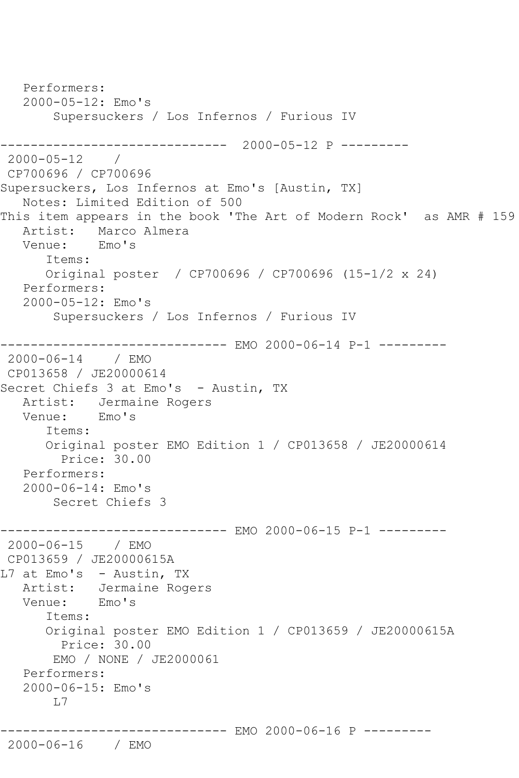```
 Performers:
    2000-05-12: Emo's
        Supersuckers / Los Infernos / Furious IV
------------------------------ 2000-05-12 P ---------
2000-05-12 / 
CP700696 / CP700696
Supersuckers, Los Infernos at Emo's [Austin, TX]
   Notes: Limited Edition of 500
This item appears in the book 'The Art of Modern Rock' as AMR # 159
  Artist: Marco Almera<br>Venue: Emo's
  Venue:
       Items:
       Original poster / CP700696 / CP700696 (15-1/2 x 24)
   Performers:
    2000-05-12: Emo's
        Supersuckers / Los Infernos / Furious IV
                -------------- EMO 2000-06-14 P-1 ---------
2000-06-14 / EMO 
CP013658 / JE20000614
Secret Chiefs 3 at Emo's - Austin, TX
  Artist: Jermaine Rogers<br>Venue: Emo's
           Emo's
       Items:
       Original poster EMO Edition 1 / CP013658 / JE20000614
         Price: 30.00
   Performers:
    2000-06-14: Emo's
        Secret Chiefs 3
------------------------------ EMO 2000-06-15 P-1 ---------
2000-06-15 / EMO 
CP013659 / JE20000615A
L7 at Emo's - Austin, TX
  Artist: Jermaine Rogers<br>Venue: Emo's
  Venue:
       Items:
       Original poster EMO Edition 1 / CP013659 / JE20000615A
         Price: 30.00
        EMO / NONE / JE2000061
    Performers:
    2000-06-15: Emo's
        L7
                    ----------- EMO 2000-06-16 P ---------
```

```
2000-06-16 / EMO
```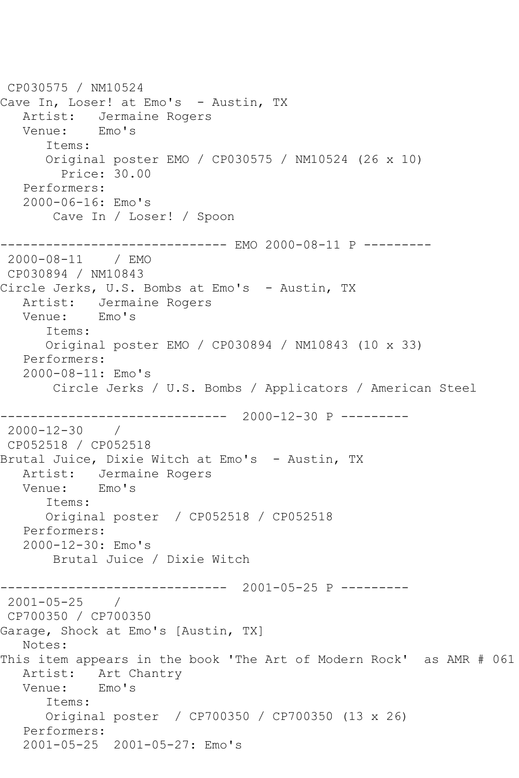CP030575 / NM10524 Cave In, Loser! at Emo's - Austin, TX Artist: Jermaine Rogers<br>Venue: Emo's Venue: Items: Original poster EMO / CP030575 / NM10524 (26 x 10) Price: 30.00 Performers: 2000-06-16: Emo's Cave In / Loser! / Spoon ------------------------------ EMO 2000-08-11 P --------- 2000-08-11 / EMO CP030894 / NM10843 Circle Jerks, U.S. Bombs at Emo's - Austin, TX Artist: Jermaine Rogers Venue: Emo's Items: Original poster EMO / CP030894 / NM10843 (10 x 33) Performers: 2000-08-11: Emo's Circle Jerks / U.S. Bombs / Applicators / American Steel ------------------------------ 2000-12-30 P --------- 2000-12-30 / CP052518 / CP052518 Brutal Juice, Dixie Witch at Emo's - Austin, TX Artist: Jermaine Rogers<br>Venue: Emo's Venue: Items: Original poster / CP052518 / CP052518 Performers: 2000-12-30: Emo's Brutal Juice / Dixie Witch ------------------------------ 2001-05-25 P --------- 2001-05-25 / CP700350 / CP700350 Garage, Shock at Emo's [Austin, TX] Notes: This item appears in the book 'The Art of Modern Rock' as AMR # 061 Artist: Art Chantry Venue: Emo's Items: Original poster / CP700350 / CP700350 (13 x 26) Performers: 2001-05-25 2001-05-27: Emo's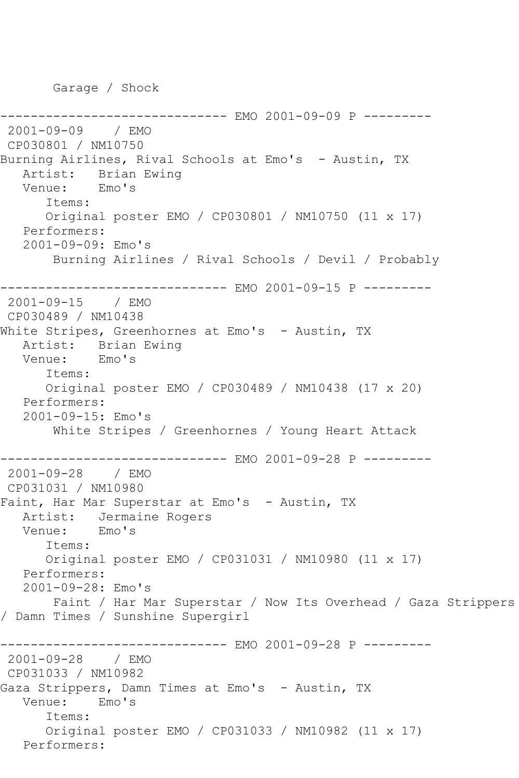Garage / Shock

------------ EMO 2001-09-09 P ---------2001-09-09 / EMO CP030801 / NM10750 Burning Airlines, Rival Schools at Emo's - Austin, TX Artist: Brian Ewing<br>Venue: Emo's Venue: Items: Original poster EMO / CP030801 / NM10750 (11 x 17) Performers: 2001-09-09: Emo's Burning Airlines / Rival Schools / Devil / Probably ------------------------------ EMO 2001-09-15 P --------- 2001-09-15 / EMO CP030489 / NM10438 White Stripes, Greenhornes at Emo's - Austin, TX Artist: Brian Ewing<br>Venue: Emo's Venue: Items: Original poster EMO / CP030489 / NM10438 (17 x 20) Performers: 2001-09-15: Emo's White Stripes / Greenhornes / Young Heart Attack ------------------------------ EMO 2001-09-28 P --------- 2001-09-28 / EMO CP031031 / NM10980 Faint, Har Mar Superstar at Emo's - Austin, TX Artist: Jermaine Rogers Venue: Emo's Items: Original poster EMO / CP031031 / NM10980 (11 x 17) Performers: 2001-09-28: Emo's Faint / Har Mar Superstar / Now Its Overhead / Gaza Strippers / Damn Times / Sunshine Supergirl ------------------------------ EMO 2001-09-28 P --------- 2001-09-28 / EMO CP031033 / NM10982 Gaza Strippers, Damn Times at Emo's - Austin, TX Venue: Emo's Items: Original poster EMO / CP031033 / NM10982 (11 x 17) Performers: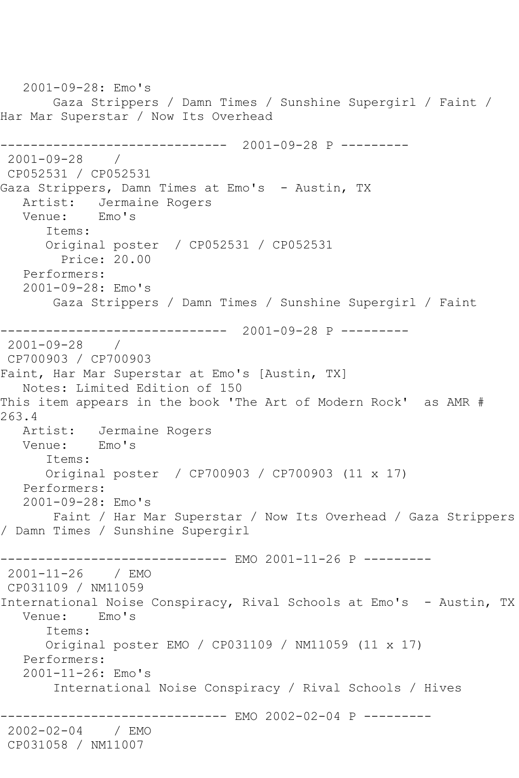```
 2001-09-28: Emo's
       Gaza Strippers / Damn Times / Sunshine Supergirl / Faint / 
Har Mar Superstar / Now Its Overhead
------------------------------ 2001-09-28 P ---------
2001-09-28 / 
CP052531 / CP052531
Gaza Strippers, Damn Times at Emo's - Austin, TX
  Artist: Jermaine Rogers<br>Venue: Emo's
  Venue:
      Items:
      Original poster / CP052531 / CP052531
         Price: 20.00
   Performers:
   2001-09-28: Emo's
        Gaza Strippers / Damn Times / Sunshine Supergirl / Faint
------------------------------ 2001-09-28 P ---------
2001-09-28 / 
CP700903 / CP700903
Faint, Har Mar Superstar at Emo's [Austin, TX]
   Notes: Limited Edition of 150
This item appears in the book 'The Art of Modern Rock' as AMR # 
263.4<br>:Artist
           Jermaine Rogers<br>Emo's
  Venue:
      Items:
      Original poster / CP700903 / CP700903 (11 x 17)
   Performers:
   2001-09-28: Emo's
       Faint / Har Mar Superstar / Now Its Overhead / Gaza Strippers 
/ Damn Times / Sunshine Supergirl
------------------------------ EMO 2001-11-26 P ---------
2001-11-26 / EMO 
CP031109 / NM11059
International Noise Conspiracy, Rival Schools at Emo's - Austin, TX
   Venue: Emo's
      Items:
       Original poster EMO / CP031109 / NM11059 (11 x 17)
   Performers:
   2001-11-26: Emo's
        International Noise Conspiracy / Rival Schools / Hives
                  ------------ EMO 2002-02-04 P ---------
2002-02-04 / EMO 
CP031058 / NM11007
```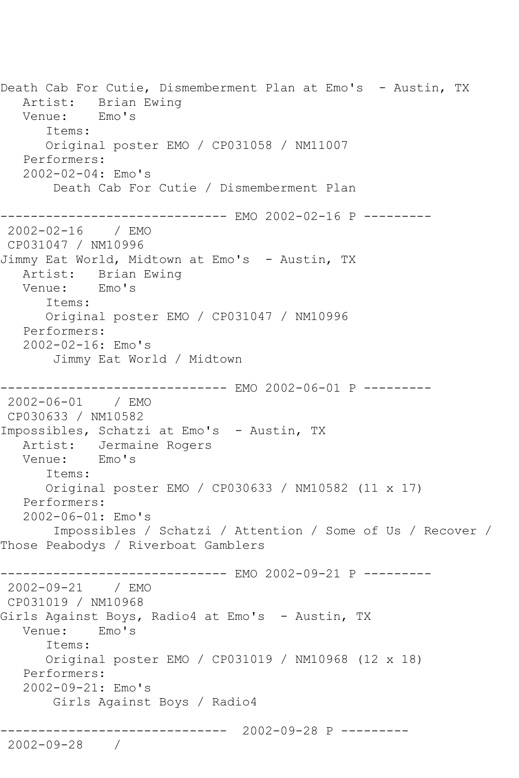Death Cab For Cutie, Dismemberment Plan at Emo's - Austin, TX Artist: Brian Ewing Venue: Emo's Items: Original poster EMO / CP031058 / NM11007 Performers: 2002-02-04: Emo's Death Cab For Cutie / Dismemberment Plan ------------------------------ EMO 2002-02-16 P --------- 2002-02-16 / EMO CP031047 / NM10996 Jimmy Eat World, Midtown at Emo's - Austin, TX Artist: Brian Ewing<br>Venue: Emo's Venue: Items: Original poster EMO / CP031047 / NM10996 Performers: 2002-02-16: Emo's Jimmy Eat World / Midtown ----------- EMO 2002-06-01 P ---------2002-06-01 / EMO CP030633 / NM10582 Impossibles, Schatzi at Emo's - Austin, TX Artist: Jermaine Rogers Venue: Emo's Items: Original poster EMO / CP030633 / NM10582 (11 x 17) Performers: 2002-06-01: Emo's Impossibles / Schatzi / Attention / Some of Us / Recover / Those Peabodys / Riverboat Gamblers ----------- EMO 2002-09-21 P ---------2002-09-21 / EMO CP031019 / NM10968 Girls Against Boys, Radio4 at Emo's - Austin, TX Venue: Emo's Items: Original poster EMO / CP031019 / NM10968 (12 x 18) Performers: 2002-09-21: Emo's Girls Against Boys / Radio4 ------------------------------ 2002-09-28 P --------- 2002-09-28 /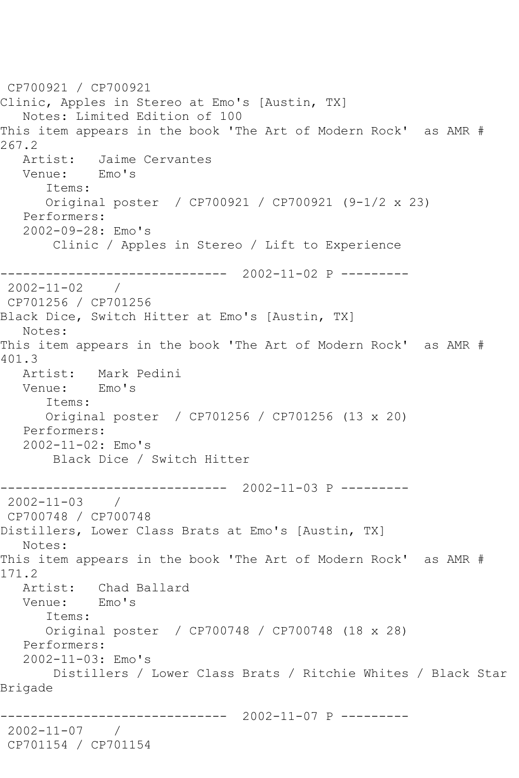CP700921 / CP700921 Clinic, Apples in Stereo at Emo's [Austin, TX] Notes: Limited Edition of 100 This item appears in the book 'The Art of Modern Rock' as AMR # 267.2<br>Artist: Jaime Cervantes<br>Emo's Venue: Items: Original poster / CP700921 / CP700921 (9-1/2 x 23) Performers: 2002-09-28: Emo's Clinic / Apples in Stereo / Lift to Experience ------------------------------ 2002-11-02 P --------- 2002-11-02 / CP701256 / CP701256 Black Dice, Switch Hitter at Emo's [Austin, TX] Notes: This item appears in the book 'The Art of Modern Rock' as AMR # 401.3 Artist: Mark Pedini Venue: Emo's Items: Original poster / CP701256 / CP701256 (13 x 20) Performers: 2002-11-02: Emo's Black Dice / Switch Hitter ------------------------------ 2002-11-03 P --------- 2002-11-03 / CP700748 / CP700748 Distillers, Lower Class Brats at Emo's [Austin, TX] Notes: This item appears in the book 'The Art of Modern Rock' as AMR # 171.2 Artist: Chad Ballard Venue: Emo's Items: Original poster / CP700748 / CP700748 (18 x 28) Performers: 2002-11-03: Emo's Distillers / Lower Class Brats / Ritchie Whites / Black Star Brigade ------------------------------ 2002-11-07 P --------- 2002-11-07 / CP701154 / CP701154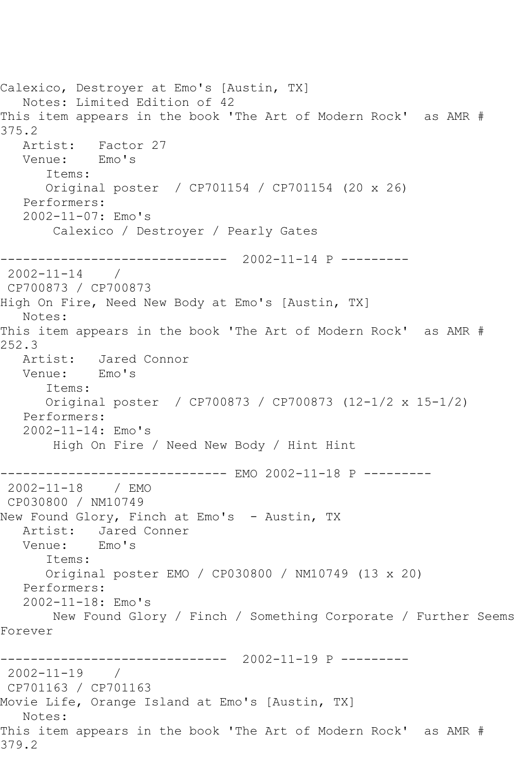Calexico, Destroyer at Emo's [Austin, TX] Notes: Limited Edition of 42 This item appears in the book 'The Art of Modern Rock' as AMR # 375.2 Artist: Factor 27 Venue: Emo's Items: Original poster / CP701154 / CP701154 (20 x 26) Performers: 2002-11-07: Emo's Calexico / Destroyer / Pearly Gates ------------------------------ 2002-11-14 P --------- 2002-11-14 / CP700873 / CP700873 High On Fire, Need New Body at Emo's [Austin, TX] Notes: This item appears in the book 'The Art of Modern Rock' as AMR # 252.3 Artist: Jared Connor<br>Venue: Emo's Venue: Items: Original poster / CP700873 / CP700873 (12-1/2 x 15-1/2) Performers: 2002-11-14: Emo's High On Fire / Need New Body / Hint Hint ------------------------------ EMO 2002-11-18 P --------- 2002-11-18 / EMO CP030800 / NM10749 New Found Glory, Finch at Emo's - Austin, TX Artist: Jared Conner<br>Venue: Emo's Venue: Items: Original poster EMO / CP030800 / NM10749 (13 x 20) Performers: 2002-11-18: Emo's New Found Glory / Finch / Something Corporate / Further Seems Forever ------------------------------ 2002-11-19 P --------- 2002-11-19 / CP701163 / CP701163 Movie Life, Orange Island at Emo's [Austin, TX] Notes: This item appears in the book 'The Art of Modern Rock' as AMR # 379.2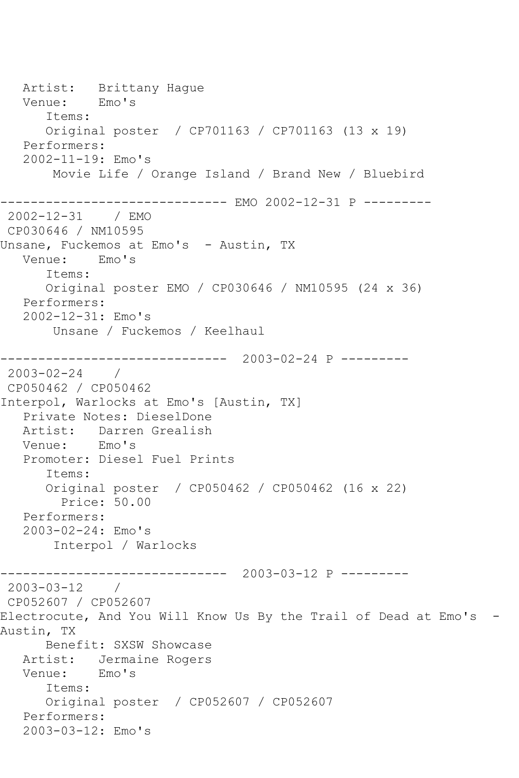Artist: Brittany Hague<br>Venue: Emo's Venue: Items: Original poster / CP701163 / CP701163 (13 x 19) Performers: 2002-11-19: Emo's Movie Life / Orange Island / Brand New / Bluebird ------------------------------ EMO 2002-12-31 P --------- 2002-12-31 / EMO CP030646 / NM10595 Unsane, Fuckemos at Emo's - Austin, TX Venue: Emo's Items: Original poster EMO / CP030646 / NM10595 (24 x 36) Performers: 2002-12-31: Emo's Unsane / Fuckemos / Keelhaul ------------------------------ 2003-02-24 P ---------  $2003 - 02 - 24$ CP050462 / CP050462 Interpol, Warlocks at Emo's [Austin, TX] Private Notes: DieselDone Artist: Darren Grealish<br>Venue: Emo's Venue: Promoter: Diesel Fuel Prints Items: Original poster / CP050462 / CP050462 (16 x 22) Price: 50.00 Performers: 2003-02-24: Emo's Interpol / Warlocks ------------------------------ 2003-03-12 P --------- 2003-03-12 / CP052607 / CP052607 Electrocute, And You Will Know Us By the Trail of Dead at Emo's - Austin, TX Benefit: SXSW Showcase Artist: Jermaine Rogers Venue: Emo's Items: Original poster / CP052607 / CP052607 Performers: 2003-03-12: Emo's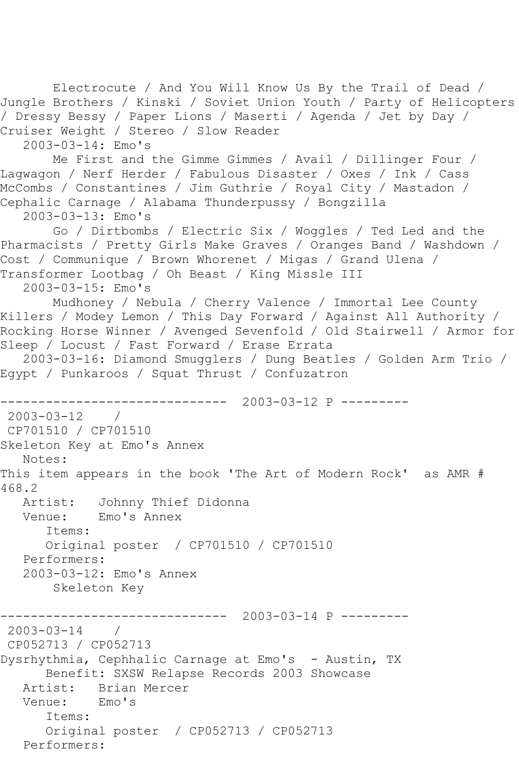```
 Electrocute / And You Will Know Us By the Trail of Dead / 
Jungle Brothers / Kinski / Soviet Union Youth / Party of Helicopters 
/ Dressy Bessy / Paper Lions / Maserti / Agenda / Jet by Day / 
Cruiser Weight / Stereo / Slow Reader
    2003-03-14: Emo's
        Me First and the Gimme Gimmes / Avail / Dillinger Four / 
Lagwagon / Nerf Herder / Fabulous Disaster / Oxes / Ink / Cass 
McCombs / Constantines / Jim Guthrie / Royal City / Mastadon / 
Cephalic Carnage / Alabama Thunderpussy / Bongzilla
    2003-03-13: Emo's
        Go / Dirtbombs / Electric Six / Woggles / Ted Led and the 
Pharmacists / Pretty Girls Make Graves / Oranges Band / Washdown / 
Cost / Communique / Brown Whorenet / Migas / Grand Ulena / 
Transformer Lootbag / Oh Beast / King Missle III
   2003-03-15: Emo's
        Mudhoney / Nebula / Cherry Valence / Immortal Lee County 
Killers / Modey Lemon / This Day Forward / Against All Authority / 
Rocking Horse Winner / Avenged Sevenfold / Old Stairwell / Armor for 
Sleep / Locust / Fast Forward / Erase Errata
   2003-03-16: Diamond Smugglers / Dung Beatles / Golden Arm Trio / 
Egypt / Punkaroos / Squat Thrust / Confuzatron
                   ------------------------------ 2003-03-12 P ---------
2003-03-12 / 
CP701510 / CP701510
Skeleton Key at Emo's Annex
   Notes: 
This item appears in the book 'The Art of Modern Rock' as AMR # 
468.2
  Artist: Johnny Thief Didonna<br>Venue: Emo's Annex
            Emo's Annex
       Items:
       Original poster / CP701510 / CP701510
   Performers:
    2003-03-12: Emo's Annex
        Skeleton Key
                   ------------------------------ 2003-03-14 P ---------
2003-03-14 / 
CP052713 / CP052713
Dysrhythmia, Cephhalic Carnage at Emo's - Austin, TX
       Benefit: SXSW Relapse Records 2003 Showcase
  Artist: Brian Mercer<br>Venue: Emo's
  Venue:
       Items:
       Original poster / CP052713 / CP052713
   Performers:
```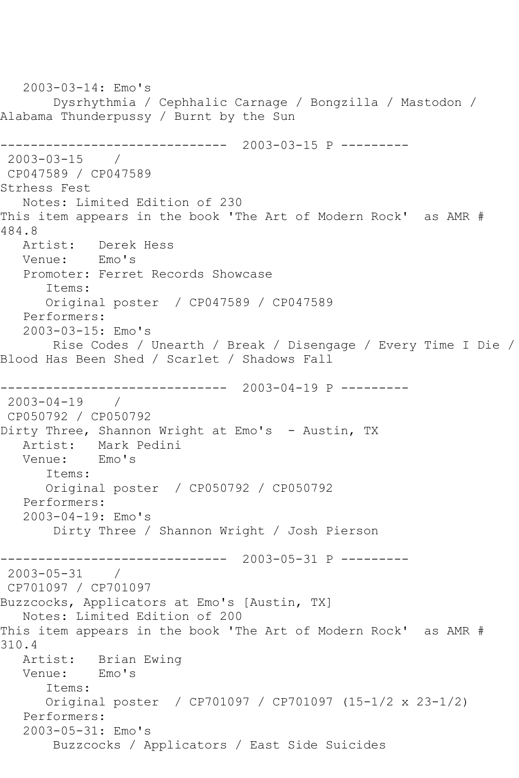2003-03-14: Emo's Dysrhythmia / Cephhalic Carnage / Bongzilla / Mastodon / Alabama Thunderpussy / Burnt by the Sun ------------------------------ 2003-03-15 P --------- 2003-03-15 / CP047589 / CP047589 Strhess Fest Notes: Limited Edition of 230 This item appears in the book 'The Art of Modern Rock' as AMR # 484.8<br>: Artist Derek Hess<br>Emo's Venue: Promoter: Ferret Records Showcase Items: Original poster / CP047589 / CP047589 Performers: 2003-03-15: Emo's Rise Codes / Unearth / Break / Disengage / Every Time I Die / Blood Has Been Shed / Scarlet / Shadows Fall ------------------------------ 2003-04-19 P --------- 2003-04-19 / CP050792 / CP050792 Dirty Three, Shannon Wright at Emo's - Austin, TX Artist: Mark Pedini Venue: Emo's Items: Original poster / CP050792 / CP050792 Performers: 2003-04-19: Emo's Dirty Three / Shannon Wright / Josh Pierson ------------------------------ 2003-05-31 P --------- 2003-05-31 / CP701097 / CP701097 Buzzcocks, Applicators at Emo's [Austin, TX] Notes: Limited Edition of 200 This item appears in the book 'The Art of Modern Rock' as AMR # 310.4 Artist: Brian Ewing Venue: Emo's Items: Original poster / CP701097 / CP701097 (15-1/2 x 23-1/2) Performers: 2003-05-31: Emo's Buzzcocks / Applicators / East Side Suicides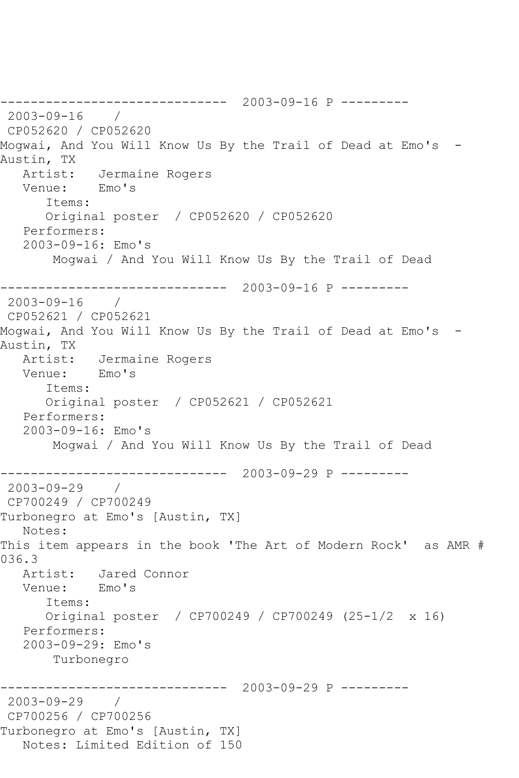------------------------------ 2003-09-16 P --------- 2003-09-16 / CP052620 / CP052620 Mogwai, And You Will Know Us By the Trail of Dead at Emo's - Austin, TX Artist: Jermaine Rogers<br>Venue: Emo's Venue: Items: Original poster / CP052620 / CP052620 Performers: 2003-09-16: Emo's Mogwai / And You Will Know Us By the Trail of Dead ------------------------------ 2003-09-16 P --------- 2003-09-16 / CP052621 / CP052621 Mogwai, And You Will Know Us By the Trail of Dead at Emo's - Austin, TX Artist: Jermaine Rogers<br>Venue: Emo's Venue: Items: Original poster / CP052621 / CP052621 Performers: 2003-09-16: Emo's Mogwai / And You Will Know Us By the Trail of Dead ------------------------------ 2003-09-29 P --------- 2003-09-29 / CP700249 / CP700249 Turbonegro at Emo's [Austin, TX] Notes: This item appears in the book 'The Art of Modern Rock' as AMR # 036.3 Artist: Jared Connor Venue: Emo's Items: Original poster / CP700249 / CP700249 (25-1/2 x 16) Performers: 2003-09-29: Emo's Turbonegro ------------------------------ 2003-09-29 P --------- 2003-09-29 / CP700256 / CP700256 Turbonegro at Emo's [Austin, TX] Notes: Limited Edition of 150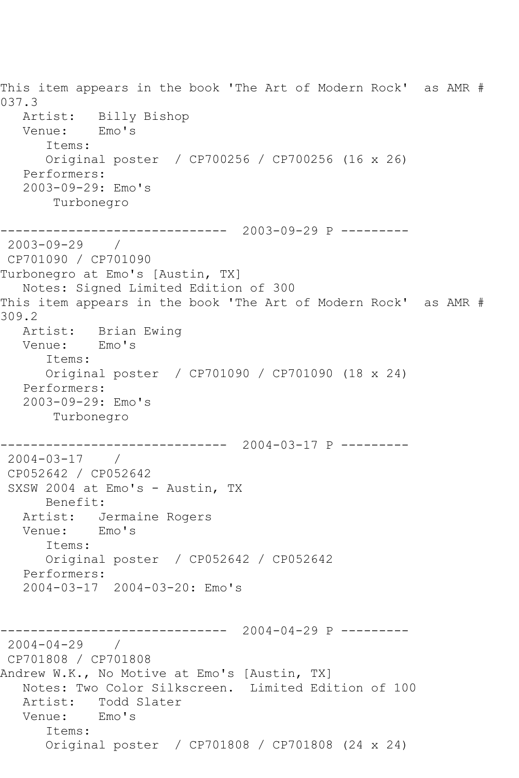This item appears in the book 'The Art of Modern Rock' as AMR # 037.3 Artist: Billy Bishop<br>Venue: Emo's Venue: Items: Original poster / CP700256 / CP700256 (16 x 26) Performers: 2003-09-29: Emo's Turbonegro ------------------------------ 2003-09-29 P --------- 2003-09-29 / CP701090 / CP701090 Turbonegro at Emo's [Austin, TX] Notes: Signed Limited Edition of 300 This item appears in the book 'The Art of Modern Rock' as AMR # 309.2 Artist: Brian Ewing Venue: Emo's Items: Original poster / CP701090 / CP701090 (18 x 24) Performers: 2003-09-29: Emo's Turbonegro ------------------------------ 2004-03-17 P --------- 2004-03-17 / CP052642 / CP052642 SXSW 2004 at Emo's - Austin, TX Benefit: Artist: Jermaine Rogers Venue: Emo's Items: Original poster / CP052642 / CP052642 Performers: 2004-03-17 2004-03-20: Emo's ------------------------------ 2004-04-29 P ---------  $2004 - 04 - 29$  / CP701808 / CP701808 Andrew W.K., No Motive at Emo's [Austin, TX] Notes: Two Color Silkscreen. Limited Edition of 100 Artist: Todd Slater Venue: Emo's Items: Original poster / CP701808 / CP701808 (24 x 24)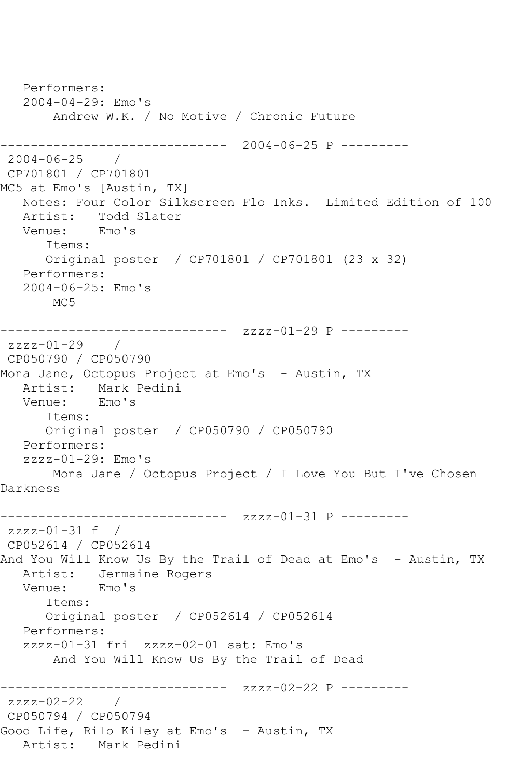Performers: 2004-04-29: Emo's Andrew W.K. / No Motive / Chronic Future ------------------------------ 2004-06-25 P --------- 2004-06-25 / CP701801 / CP701801 MC5 at Emo's [Austin, TX] Notes: Four Color Silkscreen Flo Inks. Limited Edition of 100 Artist: Todd Slater Venue: Emo's Items: Original poster / CP701801 / CP701801 (23 x 32) Performers: 2004-06-25: Emo's MC<sub>5</sub> ------------------------------ zzzz-01-29 P -------- zzzz-01-29 / CP050790 / CP050790 Mona Jane, Octopus Project at Emo's – Austin, TX<br>Artist: Mark Pedini Mark Pedini<br>Emo's Venue: Items: Original poster / CP050790 / CP050790 Performers:  $zzzz-01-29:$  Emo's Mona Jane / Octopus Project / I Love You But I've Chosen Darkness ------------------------------ zzzz-01-31 P -------- zzzz-01-31 f / CP052614 / CP052614 And You Will Know Us By the Trail of Dead at Emo's - Austin, TX Artist: Jermaine Rogers Venue: Emo's Items: Original poster / CP052614 / CP052614 Performers: zzzz-01-31 fri zzzz-02-01 sat: Emo's And You Will Know Us By the Trail of Dead ------------------------------ zzzz-02-22 P --------zzzz-02-22 / CP050794 / CP050794 Good Life, Rilo Kiley at Emo's - Austin, TX Artist: Mark Pedini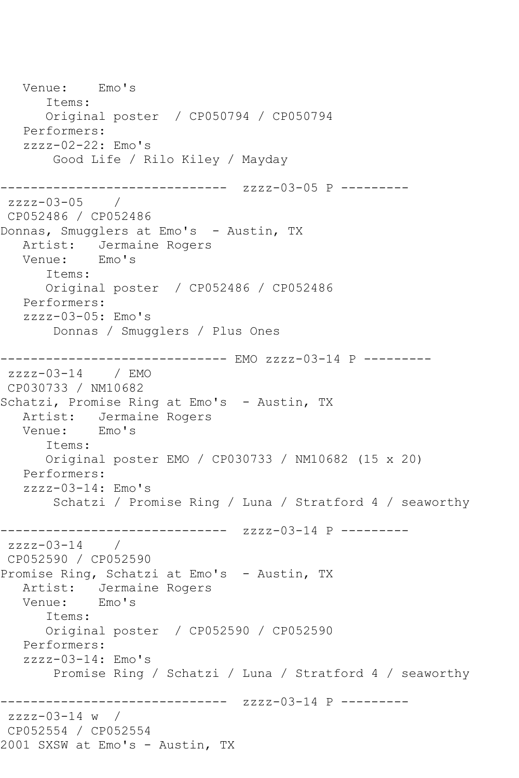Venue: Emo's Items: Original poster / CP050794 / CP050794 Performers:  $zzzz-02-22:$  Emo's Good Life / Rilo Kiley / Mayday ------------------------------ zzzz-03-05 P -------- zzzz-03-05 / CP052486 / CP052486 Donnas, Smugglers at Emo's - Austin, TX Artist: Jermaine Rogers<br>Venue: Emo's Venue: Items: Original poster / CP052486 / CP052486 Performers: zzzz-03-05: Emo's Donnas / Smugglers / Plus Ones ------------------------------ EMO zzzz-03-14 P -------- zzzz-03-14 / EMO CP030733 / NM10682 Schatzi, Promise Ring at Emo's - Austin, TX Artist: Jermaine Rogers Venue: Emo's Items: Original poster EMO / CP030733 / NM10682 (15 x 20) Performers: zzzz-03-14: Emo's Schatzi / Promise Ring / Luna / Stratford 4 / seaworthy ------------------------------ zzzz-03-14 P --------  $zzzz-03-14$  / CP052590 / CP052590 Promise Ring, Schatzi at Emo's - Austin, TX Artist: Jermaine Rogers<br>Venue: Emo's Venue: Items: Original poster / CP052590 / CP052590 Performers:  $zzzz-03-14$ : Emo's Promise Ring / Schatzi / Luna / Stratford 4 / seaworthy ------------------------------ zzzz-03-14 P -------- zzzz-03-14 w / CP052554 / CP052554 2001 SXSW at Emo's - Austin, TX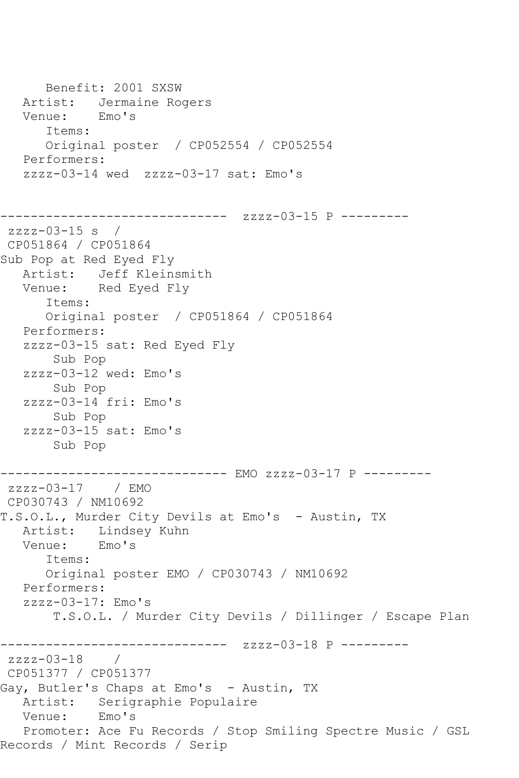Benefit: 2001 SXSW Artist: Jermaine Rogers Venue: Emo's Items: Original poster / CP052554 / CP052554 Performers: zzzz-03-14 wed zzzz-03-17 sat: Emo's ------------------------------ zzzz-03-15 P -------- zzzz-03-15 s / CP051864 / CP051864 Sub Pop at Red Eyed Fly Artist: Jeff Kleinsmith Venue: Red Eyed Fly Items: Original poster / CP051864 / CP051864 Performers: zzzz-03-15 sat: Red Eyed Fly Sub Pop zzzz-03-12 wed: Emo's Sub Pop zzzz-03-14 fri: Emo's Sub Pop zzzz-03-15 sat: Emo's Sub Pop ------------------------------ EMO zzzz-03-17 P -------- zzzz-03-17 / EMO CP030743 / NM10692 T.S.O.L., Murder City Devils at Emo's - Austin, TX Artist: Lindsey Kuhn<br>Venue: Emo's Venue: Items: Original poster EMO / CP030743 / NM10692 Performers: zzzz-03-17: Emo's T.S.O.L. / Murder City Devils / Dillinger / Escape Plan ------------------------------ zzzz-03-18 P -------- zzzz-03-18 / CP051377 / CP051377 Gay, Butler's Chaps at Emo's - Austin, TX Artist: Serigraphie Populaire<br>Venue: Emo's Venue: Promoter: Ace Fu Records / Stop Smiling Spectre Music / GSL Records / Mint Records / Serip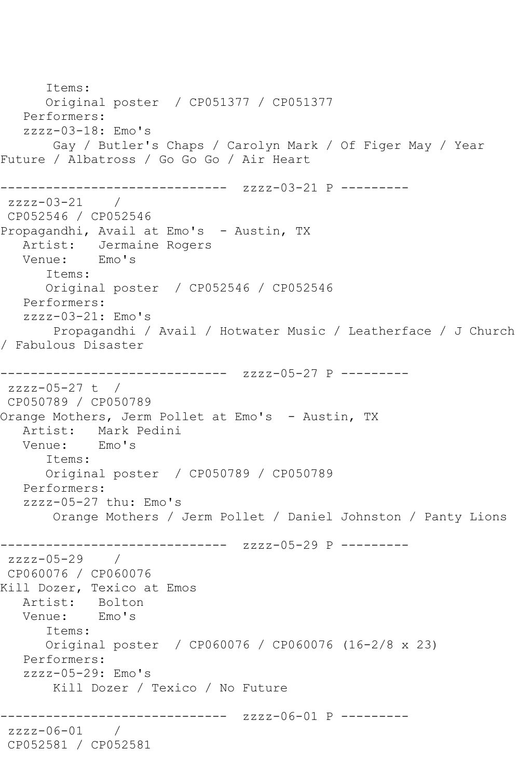Items: Original poster / CP051377 / CP051377 Performers: zzzz-03-18: Emo's Gay / Butler's Chaps / Carolyn Mark / Of Figer May / Year Future / Albatross / Go Go Go / Air Heart ------------------------------ zzzz-03-21 P -------- zzzz-03-21 / CP052546 / CP052546 Propagandhi, Avail at Emo's - Austin, TX Artist: Jermaine Rogers<br>Venue: Emo's Venue: Items: Original poster / CP052546 / CP052546 Performers: zzzz-03-21: Emo's Propagandhi / Avail / Hotwater Music / Leatherface / J Church / Fabulous Disaster ------------------------------ zzzz-05-27 P -------- zzzz-05-27 t / CP050789 / CP050789 Orange Mothers, Jerm Pollet at Emo's - Austin, TX Artist: Mark Pedini<br>Venue: Emo's Venue: Items: Original poster / CP050789 / CP050789 Performers: zzzz-05-27 thu: Emo's Orange Mothers / Jerm Pollet / Daniel Johnston / Panty Lions ------------------------------ zzzz-05-29 P --------  $zzzz-05-29$ CP060076 / CP060076 Kill Dozer, Texico at Emos Artist: Bolton<br>Venue: Emo's Venue: Items: Original poster / CP060076 / CP060076 (16-2/8 x 23) Performers: zzzz-05-29: Emo's Kill Dozer / Texico / No Future ------------- zzzz-06-01 P --------zzzz-06-01 / CP052581 / CP052581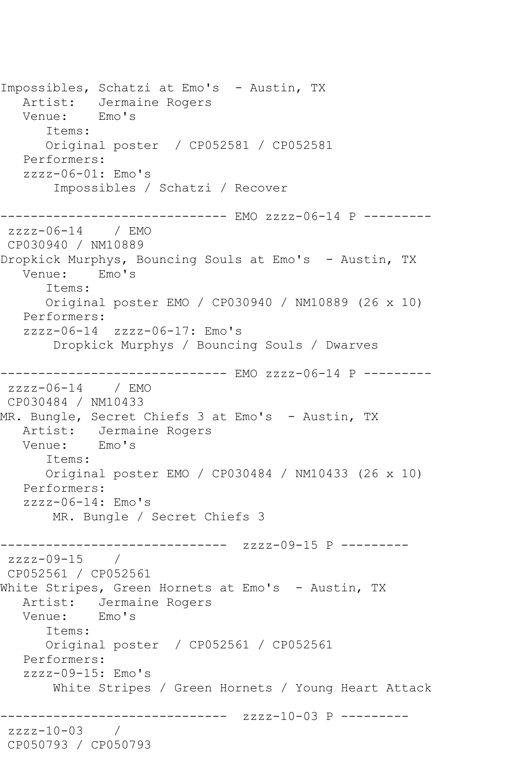Impossibles, Schatzi at Emo's - Austin, TX Artist: Jermaine Rogers Venue: Emo's Items: Original poster / CP052581 / CP052581 Performers: zzzz-06-01: Emo's Impossibles / Schatzi / Recover ------------------------------ EMO zzzz-06-14 P -------- zzzz-06-14 / EMO CP030940 / NM10889 Dropkick Murphys, Bouncing Souls at Emo's - Austin, TX<br>Venue: Emo's Venue: Items: Original poster EMO / CP030940 / NM10889 (26 x 10) Performers: zzzz-06-14 zzzz-06-17: Emo's Dropkick Murphys / Bouncing Souls / Dwarves ------------------------------ EMO zzzz-06-14 P -------- zzzz-06-14 / EMO CP030484 / NM10433 MR. Bungle, Secret Chiefs 3 at Emo's - Austin, TX Artist: Jermaine Rogers<br>Venue: Emo's Venue: Items: Original poster EMO / CP030484 / NM10433 (26 x 10) Performers: zzzz-06-14: Emo's MR. Bungle / Secret Chiefs 3 ------------------------------ zzzz-09-15 P --------  $zzzz=09-15$ CP052561 / CP052561 White Stripes, Green Hornets at Emo's - Austin, TX Artist: Jermaine Rogers Venue: Emo's Items: Original poster / CP052561 / CP052561 Performers: zzzz-09-15: Emo's White Stripes / Green Hornets / Young Heart Attack ------------------------------ zzzz-10-03 P -------- zzzz-10-03 / CP050793 / CP050793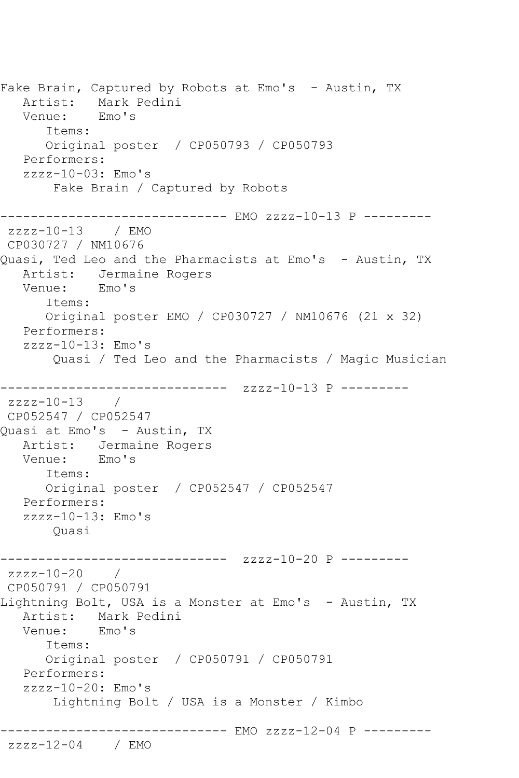Fake Brain, Captured by Robots at Emo's - Austin, TX Artist: Mark Pedini<br>Venue: Emo's Venue: Items: Original poster / CP050793 / CP050793 Performers: zzzz-10-03: Emo's Fake Brain / Captured by Robots ------------------------------ EMO zzzz-10-13 P -------- zzzz-10-13 / EMO CP030727 / NM10676 Quasi, Ted Leo and the Pharmacists at Emo's - Austin, TX Artist: Jermaine Rogers<br>Venue: Emo's Venue: Items: Original poster EMO / CP030727 / NM10676 (21 x 32) Performers:  $zzzz-10-13$ : Emo's Quasi / Ted Leo and the Pharmacists / Magic Musician ------------------------------ zzzz-10-13 P --------  $zzzz-10-13$  / CP052547 / CP052547 Quasi at Emo's - Austin, TX Artist: Jermaine Rogers Venue: Emo's Items: Original poster / CP052547 / CP052547 Performers: zzzz-10-13: Emo's Quasi ------------------------------ zzzz-10-20 P -------- zzzz-10-20 / CP050791 / CP050791 Lightning Bolt, USA is a Monster at Emo's - Austin, TX Artist: Mark Pedini<br>Venue: Emo's Venue: Items: Original poster / CP050791 / CP050791 Performers: zzzz-10-20: Emo's Lightning Bolt / USA is a Monster / Kimbo ------------------------------ EMO zzzz-12-04 P -------- zzzz-12-04 / EMO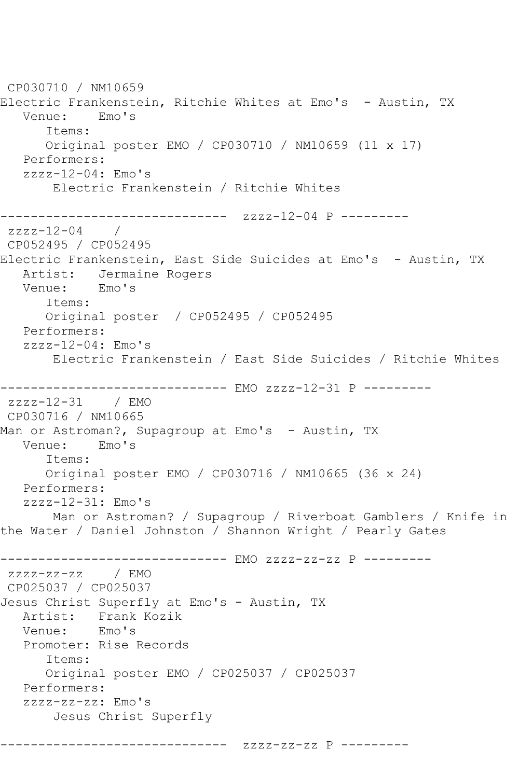```
CP030710 / NM10659
Electric Frankenstein, Ritchie Whites at Emo's  – Austin, TX<br>Venue:    Emo's
  Venue:
       Items:
       Original poster EMO / CP030710 / NM10659 (11 x 17)
   Performers:
   zzzz-12-04: Emo's
        Electric Frankenstein / Ritchie Whites
------------------------------ zzzz-12-04 P ---------
zzzz - 12 - 04CP052495 / CP052495
Electric Frankenstein, East Side Suicides at Emo's - Austin, TX
  Artist: Jermaine Rogers<br>Venue: Emo's
  Venue:
       Items:
       Original poster / CP052495 / CP052495
   Performers:
   zzzz-12-04: Emo's
        Electric Frankenstein / East Side Suicides / Ritchie Whites
------------------------------ EMO zzzz-12-31 P ---------
zzzz-12-31 / EMO 
CP030716 / NM10665
Man or Astroman?, Supagroup at Emo's - Austin, TX
   Venue: Emo's
       Items:
       Original poster EMO / CP030716 / NM10665 (36 x 24)
   Performers:
   zzzz-12-31: Emo's
       Man or Astroman? / Supagroup / Riverboat Gamblers / Knife in 
the Water / Daniel Johnston / Shannon Wright / Pearly Gates
------------------------------ EMO zzzz-zz-zz P ---------
zzzz-zz-zz / EMO 
CP025037 / CP025037
Jesus Christ Superfly at Emo's - Austin, TX
  Artist: Frank Kozik<br>Venue: Emo's
  Venue:
   Promoter: Rise Records
       Items:
       Original poster EMO / CP025037 / CP025037
   Performers:
    zzzz-zz-zz: Emo's
        Jesus Christ Superfly
------------------------------ zzzz-zz-zz P ---------
```